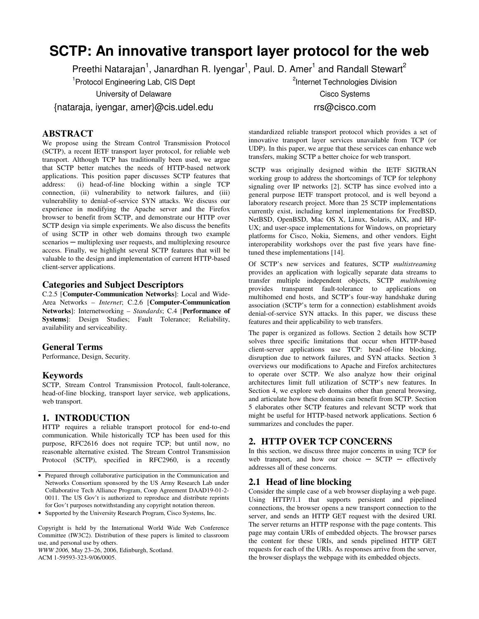# **SCTP: An innovative transport layer protocol for the web**

Preethi Natarajan<sup>1</sup>, Janardhan R. Iyengar<sup>1</sup>, Paul. D. Amer<sup>1</sup> and Randall Stewart<sup>2</sup>

<sup>1</sup> Protocol Engineering Lab, CIS Dept

University of Delaware

{nataraja, iyengar, amer}@cis.udel.edu

## **ABSTRACT**

We propose using the Stream Control Transmission Protocol (SCTP), a recent IETF transport layer protocol, for reliable web transport. Although TCP has traditionally been used, we argue that SCTP better matches the needs of HTTP-based network applications. This position paper discusses SCTP features that address: (i) head-of-line blocking within a single TCP  $(i)$  head-of-line blocking within a single TCP connection, (ii) vulnerability to network failures, and (iii) vulnerability to denial-of-service SYN attacks. We discuss our experience in modifying the Apache server and the Firefox browser to benefit from SCTP, and demonstrate our HTTP over SCTP design via simple experiments. We also discuss the benefits of using SCTP in other web domains through two example scenarios — multiplexing user requests, and multiplexing resource access. Finally, we highlight several SCTP features that will be valuable to the design and implementation of current HTTP-based client-server applications.

#### **Categories and Subject Descriptors**

C.2.5 [**Computer-Communication Networks**]: Local and Wide-Area Networks – *Internet*; C.2.6 [**Computer-Communication Networks**]: Internetworking – *Standards*; C.4 [**Performance of Systems**]: Design Studies; Fault Tolerance; Reliability, availability and serviceability.

## **General Terms**

Performance, Design, Security.

## **Keywords**

SCTP, Stream Control Transmission Protocol, fault-tolerance, head-of-line blocking, transport layer service, web applications, web transport.

# **1. INTRODUCTION**

HTTP requires a reliable transport protocol for end-to-end communication. While historically TCP has been used for this purpose, RFC2616 does not require TCP; but until now, no reasonable alternative existed. The Stream Control Transmission Protocol (SCTP), specified in RFC2960, is a recently

Copyright is held by the International World Wide Web Conference Committee (IW3C2). Distribution of these papers is limited to classroom use, and personal use by others.

*WWW 2006,* May 23–26, 2006, Edinburgh, Scotland. ACM 1-59593-323-9/06/0005.

<sup>2</sup>Internet Technologies Division

Cisco Systems rrs@cisco.com

standardized reliable transport protocol which provides a set of innovative transport layer services unavailable from TCP (or UDP). In this paper, we argue that these services can enhance web transfers, making SCTP a better choice for web transport.

SCTP was originally designed within the IETF SIGTRAN working group to address the shortcomings of TCP for telephony signaling over IP networks [2]. SCTP has since evolved into a general purpose IETF transport protocol, and is well beyond a laboratory research project. More than 25 SCTP implementations currently exist, including kernel implementations for FreeBSD, NetBSD, OpenBSD, Mac OS X, Linux, Solaris, AIX, and HP-UX; and user-space implementations for Windows, on proprietary platforms for Cisco, Nokia, Siemens, and other vendors. Eight interoperability workshops over the past five years have finetuned these implementations [14].

Of SCTP's new services and features, SCTP *multistreaming* provides an application with logically separate data streams to transfer multiple independent objects, SCTP *multihoming* provides transparent fault-tolerance to applications on multihomed end hosts, and SCTP's four-way handshake during association (SCTP's term for a connection) establishment avoids denial-of-service SYN attacks. In this paper, we discuss these features and their applicability to web transfers.

The paper is organized as follows. Section 2 details how SCTP solves three specific limitations that occur when HTTP-based client-server applications use TCP: head-of-line blocking, disruption due to network failures, and SYN attacks. Section 3 overviews our modifications to Apache and Firefox architectures to operate over SCTP. We also analyze how their original architectures limit full utilization of SCTP's new features. In Section 4, we explore web domains other than general browsing, and articulate how these domains can benefit from SCTP. Section 5 elaborates other SCTP features and relevant SCTP work that might be useful for HTTP-based network applications. Section 6 summarizes and concludes the paper.

# **2. HTTP OVER TCP CONCERNS**

In this section, we discuss three major concerns in using TCP for web transport, and how our choice  $-$  SCTP  $-$  effectively addresses all of these concerns.

# **2.1 Head of line blocking**

Consider the simple case of a web browser displaying a web page. Using HTTP/1.1 that supports persistent and pipelined connections, the browser opens a new transport connection to the server, and sends an HTTP GET request with the desired URI. The server returns an HTTP response with the page contents. This page may contain URIs of embedded objects. The browser parses the content for these URIs, and sends pipelined HTTP GET requests for each of the URIs. As responses arrive from the server, the browser displays the webpage with its embedded objects.

<sup>•</sup> Prepared through collaborative participation in the Communication and Networks Consortium sponsored by the US Army Research Lab under Collaborative Tech Alliance Program, Coop Agreement DAAD19-01-2- 0011. The US Gov't is authorized to reproduce and distribute reprints for Gov't purposes notwithstanding any copyright notation thereon.

<sup>•</sup> Supported by the University Research Program, Cisco Systems, Inc.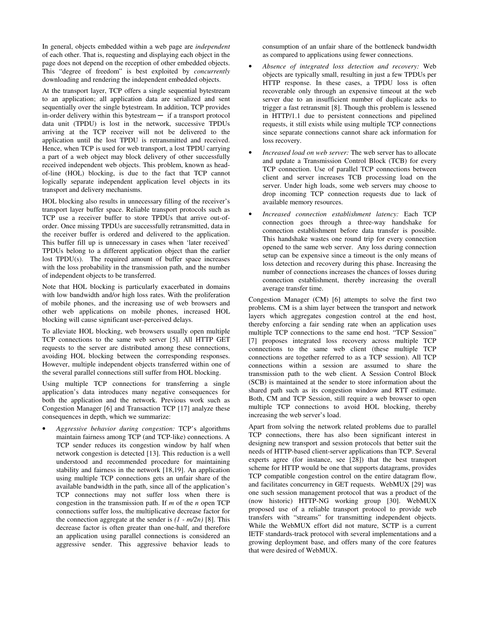In general, objects embedded within a web page are *independent* of each other. That is, requesting and displaying each object in the page does not depend on the reception of other embedded objects. This "degree of freedom" is best exploited by *concurrently* downloading and rendering the independent embedded objects.

At the transport layer, TCP offers a single sequential bytestream to an application; all application data are serialized and sent sequentially over the single bytestream. In addition, TCP provides in-order delivery within this bytestream — if a transport protocol data unit (TPDU) is lost in the network, successive TPDUs arriving at the TCP receiver will not be delivered to the application until the lost TPDU is retransmitted and received. Hence, when TCP is used for web transport, a lost TPDU carrying a part of a web object may block delivery of other successfully received independent web objects. This problem, known as headof-line (HOL) blocking, is due to the fact that TCP cannot logically separate independent application level objects in its transport and delivery mechanisms.

HOL blocking also results in unnecessary filling of the receiver's transport layer buffer space. Reliable transport protocols such as TCP use a receiver buffer to store TPDUs that arrive out-oforder. Once missing TPDUs are successfully retransmitted, data in the receiver buffer is ordered and delivered to the application. This buffer fill up is unnecessary in cases when 'later received' TPDUs belong to a different application object than the earlier lost TPDU(s). The required amount of buffer space increases with the loss probability in the transmission path, and the number of independent objects to be transferred.

Note that HOL blocking is particularly exacerbated in domains with low bandwidth and/or high loss rates. With the proliferation of mobile phones, and the increasing use of web browsers and other web applications on mobile phones, increased HOL blocking will cause significant user-perceived delays.

To alleviate HOL blocking, web browsers usually open multiple TCP connections to the same web server [5]. All HTTP GET requests to the server are distributed among these connections, avoiding HOL blocking between the corresponding responses. However, multiple independent objects transferred within one of the several parallel connections still suffer from HOL blocking.

Using multiple TCP connections for transferring a single application's data introduces many negative consequences for both the application and the network. Previous work such as Congestion Manager [6] and Transaction TCP [17] analyze these consequences in depth, which we summarize:

• *Aggressive behavior during congestion:* TCP's algorithms maintain fairness among TCP (and TCP-like) connections. A TCP sender reduces its congestion window by half when network congestion is detected [13]. This reduction is a well understood and recommended procedure for maintaining stability and fairness in the network [18,19]. An application using multiple TCP connections gets an unfair share of the available bandwidth in the path, since all of the application's TCP connections may not suffer loss when there is congestion in the transmission path. If *m* of the *n* open TCP connections suffer loss, the multiplicative decrease factor for the connection aggregate at the sender is *(1 - m/2n)* [8]. This decrease factor is often greater than one-half, and therefore an application using parallel connections is considered an aggressive sender. This aggressive behavior leads to

consumption of an unfair share of the bottleneck bandwidth as compared to applications using fewer connections.

- *Absence of integrated loss detection and recovery:* Web objects are typically small, resulting in just a few TPDUs per HTTP response. In these cases, a TPDU loss is often recoverable only through an expensive timeout at the web server due to an insufficient number of duplicate acks to trigger a fast retransmit [8]. Though this problem is lessened in HTTP/1.1 due to persistent connections and pipelined requests, it still exists while using multiple TCP connections since separate connections cannot share ack information for loss recovery.
- *Increased load on web server:* The web server has to allocate and update a Transmission Control Block (TCB) for every TCP connection. Use of parallel TCP connections between client and server increases TCB processing load on the server. Under high loads, some web servers may choose to drop incoming TCP connection requests due to lack of available memory resources.
- *Increased connection establishment latency:* Each TCP connection goes through a three-way handshake for connection establishment before data transfer is possible. This handshake wastes one round trip for every connection opened to the same web server. Any loss during connection setup can be expensive since a timeout is the only means of loss detection and recovery during this phase. Increasing the number of connections increases the chances of losses during connection establishment, thereby increasing the overall average transfer time.

Congestion Manager (CM) [6] attempts to solve the first two problems. CM is a shim layer between the transport and network layers which aggregates congestion control at the end host, thereby enforcing a fair sending rate when an application uses multiple TCP connections to the same end host. "TCP Session" [7] proposes integrated loss recovery across multiple TCP connections to the same web client (these multiple TCP connections are together referred to as a TCP session). All TCP connections within a session are assumed to share the transmission path to the web client. A Session Control Block (SCB) is maintained at the sender to store information about the shared path such as its congestion window and RTT estimate. Both, CM and TCP Session, still require a web browser to open multiple TCP connections to avoid HOL blocking, thereby increasing the web server's load.

Apart from solving the network related problems due to parallel TCP connections, there has also been significant interest in designing new transport and session protocols that better suit the needs of HTTP-based client-server applications than TCP. Several experts agree (for instance, see [28]) that the best transport scheme for HTTP would be one that supports datagrams, provides TCP compatible congestion control on the entire datagram flow, and facilitates concurrency in GET requests. WebMUX [29] was one such session management protocol that was a product of the (now historic) HTTP-NG working group [30]. WebMUX proposed use of a reliable transport protocol to provide web transfers with "streams" for transmitting independent objects. While the WebMUX effort did not mature, SCTP is a current IETF standards-track protocol with several implementations and a growing deployment base, and offers many of the core features that were desired of WebMUX.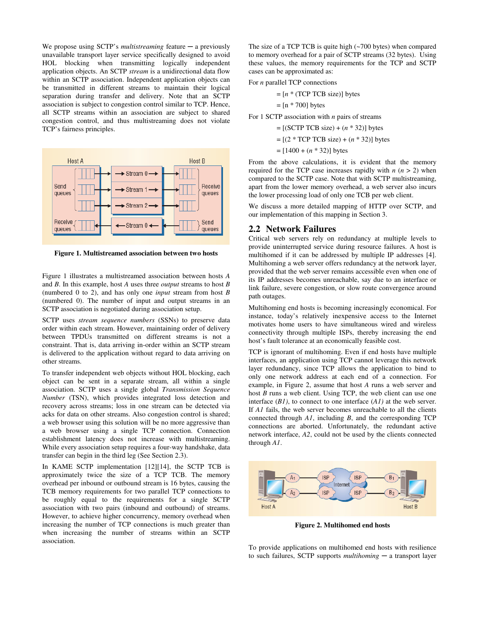We propose using  $SCTP$ 's *multistreaming* feature  $-$  a previously unavailable transport layer service specifically designed to avoid HOL blocking when transmitting logically independent application objects. An SCTP *stream* is a unidirectional data flow within an SCTP association. Independent application objects can be transmitted in different streams to maintain their logical separation during transfer and delivery. Note that an SCTP association is subject to congestion control similar to TCP. Hence, all SCTP streams within an association are subject to shared congestion control, and thus multistreaming does not violate TCP's fairness principles.



**Figure 1. Multistreamed association between two hosts** 

Figure 1 illustrates a multistreamed association between hosts *A* and *B*. In this example, host *A* uses three *output* streams to host *B*  (numbered 0 to 2), and has only one *input* stream from host *B*  (numbered 0). The number of input and output streams in an SCTP association is negotiated during association setup.

SCTP uses *stream sequence numbers* (SSNs) to preserve data order within each stream. However, maintaining order of delivery between TPDUs transmitted on different streams is not a constraint. That is, data arriving in-order within an SCTP stream is delivered to the application without regard to data arriving on other streams.

To transfer independent web objects without HOL blocking, each object can be sent in a separate stream, all within a single association. SCTP uses a single global *Transmission Sequence Number* (TSN), which provides integrated loss detection and recovery across streams; loss in one stream can be detected via acks for data on other streams. Also congestion control is shared; a web browser using this solution will be no more aggressive than a web browser using a single TCP connection. Connection establishment latency does not increase with multistreaming. While every association setup requires a four-way handshake, data transfer can begin in the third leg (See Section 2.3).

In KAME SCTP implementation [12][14], the SCTP TCB is approximately twice the size of a TCP TCB. The memory overhead per inbound or outbound stream is 16 bytes, causing the TCB memory requirements for two parallel TCP connections to be roughly equal to the requirements for a single SCTP association with two pairs (inbound and outbound) of streams. However, to achieve higher concurrency, memory overhead when increasing the number of TCP connections is much greater than when increasing the number of streams within an SCTP association.

The size of a TCP TCB is quite high (~700 bytes) when compared to memory overhead for a pair of SCTP streams (32 bytes). Using these values, the memory requirements for the TCP and SCTP cases can be approximated as:

For *n* parallel TCP connections

 $=[n * (TCP TCB size)]$  bytes

 $=$  [n  $*$  700] bytes

For 1 SCTP association with *n* pairs of streams

= [(SCTP TCB size) + (*n* \* 32)] bytes

= [(2 \* TCP TCB size) + (*n* \* 32)] bytes

 $=[1400 + (n * 32)]$  bytes

From the above calculations, it is evident that the memory required for the TCP case increases rapidly with  $n (n > 2)$  when compared to the SCTP case. Note that with SCTP multistreaming, apart from the lower memory overhead, a web server also incurs the lower processing load of only one TCB per web client.

We discuss a more detailed mapping of HTTP over SCTP, and our implementation of this mapping in Section 3.

#### **2.2 Network Failures**

Critical web servers rely on redundancy at multiple levels to provide uninterrupted service during resource failures. A host is multihomed if it can be addressed by multiple IP addresses [4]. Multihoming a web server offers redundancy at the network layer, provided that the web server remains accessible even when one of its IP addresses becomes unreachable, say due to an interface or link failure, severe congestion, or slow route convergence around path outages.

Multihoming end hosts is becoming increasingly economical. For instance, today's relatively inexpensive access to the Internet motivates home users to have simultaneous wired and wireless connectivity through multiple ISPs, thereby increasing the end host's fault tolerance at an economically feasible cost.

TCP is ignorant of multihoming. Even if end hosts have multiple interfaces, an application using TCP cannot leverage this network layer redundancy, since TCP allows the application to bind to only one network address at each end of a connection. For example, in Figure 2, assume that host *A* runs a web server and host *B* runs a web client. Using TCP, the web client can use one interface (*B1)*, to connect to one interface (*A1)* at the web server. If *A1* fails, the web server becomes unreachable to all the clients connected through *A1*, including *B*, and the corresponding TCP connections are aborted. Unfortunately, the redundant active network interface, *A2*, could not be used by the clients connected through *A1*.



**Figure 2. Multihomed end hosts** 

To provide applications on multihomed end hosts with resilience to such failures, SCTP supports *multihoming* ─ a transport layer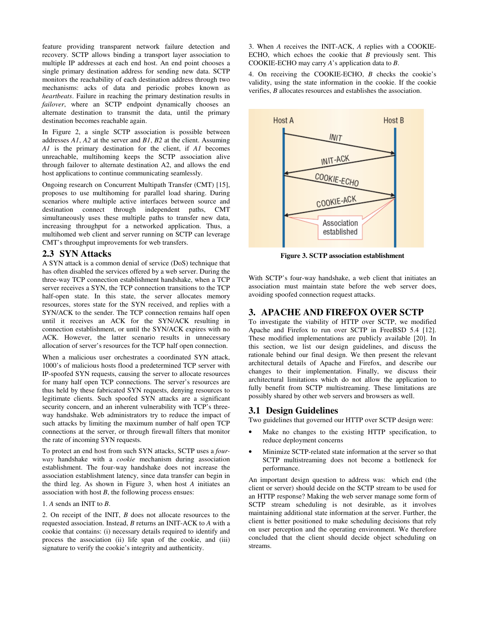feature providing transparent network failure detection and recovery. SCTP allows binding a transport layer association to multiple IP addresses at each end host. An end point chooses a single primary destination address for sending new data. SCTP monitors the reachability of each destination address through two mechanisms: acks of data and periodic probes known as *heartbeats*. Failure in reaching the primary destination results in *failover*, where an SCTP endpoint dynamically chooses an alternate destination to transmit the data, until the primary destination becomes reachable again.

In Figure 2, a single SCTP association is possible between addresses *A1*, *A2* at the server and *B1*, *B2* at the client. Assuming *A1* is the primary destination for the client, if *A1* becomes unreachable, multihoming keeps the SCTP association alive through failover to alternate destination A2, and allows the end host applications to continue communicating seamlessly.

Ongoing research on Concurrent Multipath Transfer (CMT) [15], proposes to use multihoming for parallel load sharing. During scenarios where multiple active interfaces between source and destination connect through independent paths, CMT simultaneously uses these multiple paths to transfer new data, increasing throughput for a networked application. Thus, a multihomed web client and server running on SCTP can leverage CMT's throughput improvements for web transfers.

## **2.3 SYN Attacks**

A SYN attack is a common denial of service (DoS) technique that has often disabled the services offered by a web server. During the three-way TCP connection establishment handshake, when a TCP server receives a SYN, the TCP connection transitions to the TCP half-open state. In this state, the server allocates memory resources, stores state for the SYN received, and replies with a SYN/ACK to the sender. The TCP connection remains half open until it receives an ACK for the SYN/ACK resulting in connection establishment, or until the SYN/ACK expires with no ACK. However, the latter scenario results in unnecessary allocation of server's resources for the TCP half open connection.

When a malicious user orchestrates a coordinated SYN attack, 1000's of malicious hosts flood a predetermined TCP server with IP-spoofed SYN requests, causing the server to allocate resources for many half open TCP connections. The server's resources are thus held by these fabricated SYN requests, denying resources to legitimate clients. Such spoofed SYN attacks are a significant security concern, and an inherent vulnerability with TCP's threeway handshake. Web administrators try to reduce the impact of such attacks by limiting the maximum number of half open TCP connections at the server, or through firewall filters that monitor the rate of incoming SYN requests.

To protect an end host from such SYN attacks, SCTP uses a *fourway* handshake with a *cookie* mechanism during association establishment. The four-way handshake does not increase the association establishment latency, since data transfer can begin in the third leg. As shown in Figure 3, when host *A* initiates an association with host *B*, the following process ensues:

1. *A* sends an INIT to *B*.

2. On receipt of the INIT, *B* does not allocate resources to the requested association. Instead, *B* returns an INIT-ACK to *A* with a cookie that contains: (i) necessary details required to identify and process the association (ii) life span of the cookie, and (iii) signature to verify the cookie's integrity and authenticity.

3. When *A* receives the INIT-ACK, *A* replies with a COOKIE-ECHO, which echoes the cookie that *B* previously sent. This COOKIE-ECHO may carry *A*'s application data to *B*.

4. On receiving the COOKIE-ECHO, *B* checks the cookie's validity, using the state information in the cookie. If the cookie verifies, *B* allocates resources and establishes the association.



**Figure 3. SCTP association establishment** 

With SCTP's four-way handshake, a web client that initiates an association must maintain state before the web server does, avoiding spoofed connection request attacks.

## **3. APACHE AND FIREFOX OVER SCTP**

To investigate the viability of HTTP over SCTP, we modified Apache and Firefox to run over SCTP in FreeBSD 5.4 [12]. These modified implementations are publicly available [20]. In this section, we list our design guidelines, and discuss the rationale behind our final design. We then present the relevant architectural details of Apache and Firefox, and describe our changes to their implementation. Finally, we discuss their architectural limitations which do not allow the application to fully benefit from SCTP multistreaming. These limitations are possibly shared by other web servers and browsers as well.

## **3.1 Design Guidelines**

Two guidelines that governed our HTTP over SCTP design were:

- Make no changes to the existing HTTP specification, to reduce deployment concerns
- Minimize SCTP-related state information at the server so that SCTP multistreaming does not become a bottleneck for performance.

An important design question to address was: which end (the client or server) should decide on the SCTP stream to be used for an HTTP response? Making the web server manage some form of SCTP stream scheduling is not desirable, as it involves maintaining additional state information at the server. Further, the client is better positioned to make scheduling decisions that rely on user perception and the operating environment. We therefore concluded that the client should decide object scheduling on streams.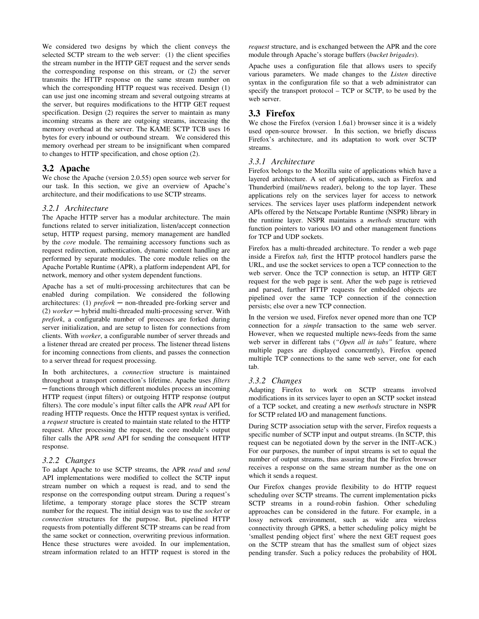We considered two designs by which the client conveys the selected SCTP stream to the web server: (1) the client specifies the stream number in the HTTP GET request and the server sends the corresponding response on this stream, or (2) the server transmits the HTTP response on the same stream number on which the corresponding HTTP request was received. Design (1) can use just one incoming stream and several outgoing streams at the server, but requires modifications to the HTTP GET request specification. Design (2) requires the server to maintain as many incoming streams as there are outgoing streams, increasing the memory overhead at the server. The KAME SCTP TCB uses 16 bytes for every inbound or outbound stream. We considered this memory overhead per stream to be insignificant when compared to changes to HTTP specification, and chose option (2).

## **3.2 Apache**

We chose the Apache (version 2.0.55) open source web server for our task. In this section, we give an overview of Apache's architecture, and their modifications to use SCTP streams.

## *3.2.1 Architecture*

The Apache HTTP server has a modular architecture. The main functions related to server initialization, listen/accept connection setup, HTTP request parsing, memory management are handled by the *core* module. The remaining accessory functions such as request redirection, authentication, dynamic content handling are performed by separate modules. The core module relies on the Apache Portable Runtime (APR), a platform independent API, for network, memory and other system dependent functions.

Apache has a set of multi-processing architectures that can be enabled during compilation. We considered the following architectures: (1)  $\text{prefix}$  – non-threaded pre-forking server and (2) *worker* ─ hybrid multi-threaded multi-processing server. With *prefork*, a configurable number of processes are forked during server initialization, and are setup to listen for connections from clients. With *worker*, a configurable number of server threads and a listener thread are created per process. The listener thread listens for incoming connections from clients, and passes the connection to a server thread for request processing.

In both architectures, a *connection* structure is maintained throughout a transport connection's lifetime. Apache uses *filters*  ─ functions through which different modules process an incoming HTTP request (input filters) or outgoing HTTP response (output filters). The core module's input filter calls the APR *read* API for reading HTTP requests. Once the HTTP request syntax is verified, a *request* structure is created to maintain state related to the HTTP request. After processing the request, the core module's output filter calls the APR *send* API for sending the consequent HTTP response.

## *3.2.2 Changes*

To adapt Apache to use SCTP streams, the APR *read* and *send* API implementations were modified to collect the SCTP input stream number on which a request is read, and to send the response on the corresponding output stream. During a request's lifetime, a temporary storage place stores the SCTP stream number for the request. The initial design was to use the *socket* or *connection* structures for the purpose. But, pipelined HTTP requests from potentially different SCTP streams can be read from the same socket or connection, overwriting previous information. Hence these structures were avoided. In our implementation, stream information related to an HTTP request is stored in the *request* structure, and is exchanged between the APR and the core module through Apache's storage buffers (*bucket brigades*).

Apache uses a configuration file that allows users to specify various parameters. We made changes to the *Listen* directive syntax in the configuration file so that a web administrator can specify the transport protocol – TCP or SCTP, to be used by the web server.

# **3.3 Firefox**

We chose the Firefox (version 1.6a1) browser since it is a widely used open-source browser. In this section, we briefly discuss Firefox's architecture, and its adaptation to work over SCTP streams.

## *3.3.1 Architecture*

Firefox belongs to the Mozilla suite of applications which have a layered architecture. A set of applications, such as Firefox and Thunderbird (mail/news reader), belong to the top layer. These applications rely on the services layer for access to network services. The services layer uses platform independent network APIs offered by the Netscape Portable Runtime (NSPR) library in the runtime layer. NSPR maintains a *methods* structure with function pointers to various I/O and other management functions for TCP and UDP sockets.

Firefox has a multi-threaded architecture. To render a web page inside a Firefox *tab,* first the HTTP protocol handlers parse the URL, and use the socket services to open a TCP connection to the web server. Once the TCP connection is setup, an HTTP GET request for the web page is sent. After the web page is retrieved and parsed, further HTTP requests for embedded objects are pipelined over the same TCP connection if the connection persists; else over a new TCP connection.

In the version we used, Firefox never opened more than one TCP connection for a *simple* transaction to the same web server. However, when we requested multiple news-feeds from the same web server in different tabs (*"Open all in tabs"* feature, where multiple pages are displayed concurrently), Firefox opened multiple TCP connections to the same web server, one for each tab.

## *3.3.2 Changes*

Adapting Firefox to work on SCTP streams involved modifications in its services layer to open an SCTP socket instead of a TCP socket, and creating a new *methods* structure in NSPR for SCTP related I/O and management functions.

During SCTP association setup with the server, Firefox requests a specific number of SCTP input and output streams. (In SCTP, this request can be negotiated down by the server in the INIT-ACK.) For our purposes, the number of input streams is set to equal the number of output streams, thus assuring that the Firefox browser receives a response on the same stream number as the one on which it sends a request.

Our Firefox changes provide flexibility to do HTTP request scheduling over SCTP streams. The current implementation picks SCTP streams in a round-robin fashion. Other scheduling approaches can be considered in the future. For example, in a lossy network environment, such as wide area wireless connectivity through GPRS, a better scheduling policy might be 'smallest pending object first' where the next GET request goes on the SCTP stream that has the smallest sum of object sizes pending transfer. Such a policy reduces the probability of HOL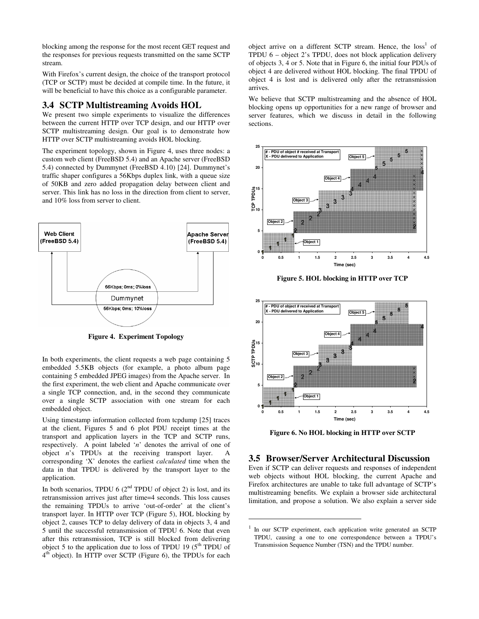blocking among the response for the most recent GET request and the responses for previous requests transmitted on the same SCTP stream.

With Firefox's current design, the choice of the transport protocol (TCP or SCTP) must be decided at compile time. In the future, it will be beneficial to have this choice as a configurable parameter.

# **3.4 SCTP Multistreaming Avoids HOL**

We present two simple experiments to visualize the differences between the current HTTP over TCP design, and our HTTP over SCTP multistreaming design. Our goal is to demonstrate how HTTP over SCTP multistreaming avoids HOL blocking.

The experiment topology, shown in Figure 4, uses three nodes: a custom web client (FreeBSD 5.4) and an Apache server (FreeBSD 5.4) connected by Dummynet (FreeBSD 4.10) [24]. Dummynet's traffic shaper configures a 56Kbps duplex link, with a queue size of 50KB and zero added propagation delay between client and server. This link has no loss in the direction from client to server, and 10% loss from server to client.



**Figure 4. Experiment Topology** 

In both experiments, the client requests a web page containing 5 embedded 5.5KB objects (for example, a photo album page containing 5 embedded JPEG images) from the Apache server. In the first experiment, the web client and Apache communicate over a single TCP connection, and, in the second they communicate over a single SCTP association with one stream for each embedded object.

Using timestamp information collected from tcpdump [25] traces at the client, Figures 5 and 6 plot PDU receipt times at the transport and application layers in the TCP and SCTP runs, respectively. A point labeled '*n*' denotes the arrival of one of object *n*'s TPDUs at the receiving transport layer. A corresponding 'X' denotes the earliest *calculated* time when the data in that TPDU is delivered by the transport layer to the application.

In both scenarios, TPDU 6 ( $2<sup>nd</sup>$  TPDU of object 2) is lost, and its retransmission arrives just after time=4 seconds. This loss causes the remaining TPDUs to arrive 'out-of-order' at the client's transport layer. In HTTP over TCP (Figure 5), HOL blocking by object 2, causes TCP to delay delivery of data in objects 3, 4 and 5 until the successful retransmission of TPDU 6. Note that even after this retransmission, TCP is still blocked from delivering object 5 to the application due to loss of TPDU 19  $(5<sup>th</sup> T PDU$  of 4<sup>th</sup> object). In HTTP over SCTP (Figure 6), the TPDUs for each

object arrive on a different SCTP stream. Hence, the loss<sup>1</sup> of TPDU 6 – object 2's TPDU, does not block application delivery of objects 3, 4 or 5. Note that in Figure 6, the initial four PDUs of object 4 are delivered without HOL blocking. The final TPDU of object 4 is lost and is delivered only after the retransmission arrives.

We believe that SCTP multistreaming and the absence of HOL blocking opens up opportunities for a new range of browser and server features, which we discuss in detail in the following sections.



**Figure 5. HOL blocking in HTTP over TCP** 



**Figure 6. No HOL blocking in HTTP over SCTP** 

#### **3.5 Browser/Server Architectural Discussion**

Even if SCTP can deliver requests and responses of independent web objects without HOL blocking, the current Apache and Firefox architectures are unable to take full advantage of SCTP's multistreaming benefits. We explain a browser side architectural limitation, and propose a solution. We also explain a server side

1

<sup>1</sup> In our SCTP experiment, each application write generated an SCTP TPDU, causing a one to one correspondence between a TPDU's Transmission Sequence Number (TSN) and the TPDU number.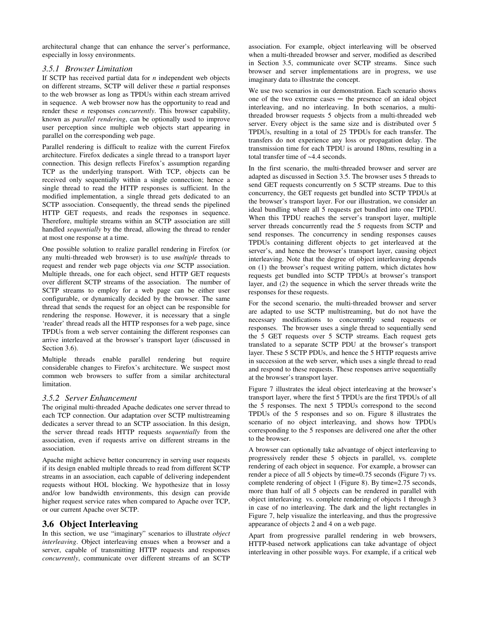architectural change that can enhance the server's performance, especially in lossy environments.

#### *3.5.1 Browser Limitation*

If SCTP has received partial data for *n* independent web objects on different streams, SCTP will deliver these *n* partial responses to the web browser as long as TPDUs within each stream arrived in sequence. A web browser now has the opportunity to read and render these *n* responses *concurrently*. This browser capability, known as *parallel rendering*, can be optionally used to improve user perception since multiple web objects start appearing in parallel on the corresponding web page.

Parallel rendering is difficult to realize with the current Firefox architecture. Firefox dedicates a single thread to a transport layer connection. This design reflects Firefox's assumption regarding TCP as the underlying transport. With TCP, objects can be received only sequentially within a single connection; hence a single thread to read the HTTP responses is sufficient. In the modified implementation, a single thread gets dedicated to an SCTP association. Consequently, the thread sends the pipelined HTTP GET requests, and reads the responses in sequence. Therefore, multiple streams within an SCTP association are still handled *sequentially* by the thread, allowing the thread to render at most one response at a time.

One possible solution to realize parallel rendering in Firefox (or any multi-threaded web browser) is to use *multiple* threads to request and render web page objects via *one* SCTP association. Multiple threads, one for each object, send HTTP GET requests over different SCTP streams of the association. The number of SCTP streams to employ for a web page can be either user configurable, or dynamically decided by the browser. The same thread that sends the request for an object can be responsible for rendering the response. However, it is necessary that a single 'reader' thread reads all the HTTP responses for a web page, since TPDUs from a web server containing the different responses can arrive interleaved at the browser's transport layer (discussed in Section 3.6).

Multiple threads enable parallel rendering but require considerable changes to Firefox's architecture. We suspect most common web browsers to suffer from a similar architectural limitation.

#### *3.5.2 Server Enhancement*

The original multi-threaded Apache dedicates one server thread to each TCP connection. Our adaptation over SCTP multistreaming dedicates a server thread to an SCTP association. In this design, the server thread reads HTTP requests *sequentially* from the association, even if requests arrive on different streams in the association.

Apache might achieve better concurrency in serving user requests if its design enabled multiple threads to read from different SCTP streams in an association, each capable of delivering independent requests without HOL blocking. We hypothesize that in lossy and/or low bandwidth environments, this design can provide higher request service rates when compared to Apache over TCP, or our current Apache over SCTP.

# **3.6 Object Interleaving**

In this section, we use "imaginary" scenarios to illustrate *object interleaving*. Object interleaving ensues when a browser and a server, capable of transmitting HTTP requests and responses *concurrently*, communicate over different streams of an SCTP

association. For example, object interleaving will be observed when a multi-threaded browser and server, modified as described in Section 3.5, communicate over SCTP streams. Since such browser and server implementations are in progress, we use imaginary data to illustrate the concept.

We use two scenarios in our demonstration. Each scenario shows one of the two extreme cases ─ the presence of an ideal object interleaving, and no interleaving. In both scenarios, a multithreaded browser requests 5 objects from a multi-threaded web server. Every object is the same size and is distributed over 5 TPDUs, resulting in a total of 25 TPDUs for each transfer. The transfers do not experience any loss or propagation delay. The transmission time for each TPDU is around 180ms, resulting in a total transfer time of ~4.4 seconds.

In the first scenario, the multi-threaded browser and server are adapted as discussed in Section 3.5. The browser uses 5 threads to send GET requests concurrently on 5 SCTP streams. Due to this concurrency, the GET requests get bundled into SCTP TPDUs at the browser's transport layer. For our illustration, we consider an ideal bundling where all 5 requests get bundled into one TPDU. When this TPDU reaches the server's transport layer, multiple server threads concurrently read the 5 requests from SCTP and send responses. The concurrency in sending responses causes TPDUs containing different objects to get interleaved at the server's, and hence the browser's transport layer, causing object interleaving. Note that the degree of object interleaving depends on (1) the browser's request writing pattern, which dictates how requests get bundled into SCTP TPDUs at browser's transport layer, and (2) the sequence in which the server threads write the responses for these requests.

For the second scenario, the multi-threaded browser and server are adapted to use SCTP multistreaming, but do not have the necessary modifications to concurrently send requests or responses. The browser uses a single thread to sequentially send the 5 GET requests over 5 SCTP streams. Each request gets translated to a separate SCTP PDU at the browser's transport layer. These 5 SCTP PDUs, and hence the 5 HTTP requests arrive in succession at the web server, which uses a single thread to read and respond to these requests. These responses arrive sequentially at the browser's transport layer.

Figure 7 illustrates the ideal object interleaving at the browser's transport layer, where the first 5 TPDUs are the first TPDUs of all the 5 responses. The next 5 TPDUs correspond to the second TPDUs of the 5 responses and so on. Figure 8 illustrates the scenario of no object interleaving, and shows how TPDUs corresponding to the 5 responses are delivered one after the other to the browser.

A browser can optionally take advantage of object interleaving to progressively render these 5 objects in parallel, vs. complete rendering of each object in sequence. For example, a browser can render a piece of all 5 objects by time=0.75 seconds (Figure 7) vs. complete rendering of object 1 (Figure 8). By time=2.75 seconds, more than half of all 5 objects can be rendered in parallel with object interleaving vs. complete rendering of objects 1 through 3 in case of no interleaving. The dark and the light rectangles in Figure 7, help visualize the interleaving, and thus the progressive appearance of objects 2 and 4 on a web page.

Apart from progressive parallel rendering in web browsers, HTTP-based network applications can take advantage of object interleaving in other possible ways. For example, if a critical web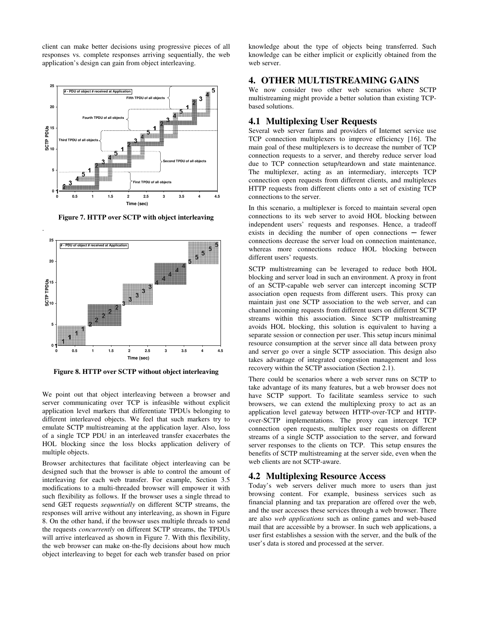client can make better decisions using progressive pieces of all responses vs. complete responses arriving sequentially, the web application's design can gain from object interleaving.



**Figure 7. HTTP over SCTP with object interleaving** 



**Figure 8. HTTP over SCTP without object interleaving** 

We point out that object interleaving between a browser and server communicating over TCP is infeasible without explicit application level markers that differentiate TPDUs belonging to different interleaved objects. We feel that such markers try to emulate SCTP multistreaming at the application layer. Also, loss of a single TCP PDU in an interleaved transfer exacerbates the HOL blocking since the loss blocks application delivery of multiple objects.

Browser architectures that facilitate object interleaving can be designed such that the browser is able to control the amount of interleaving for each web transfer. For example, Section 3.5 modifications to a multi-threaded browser will empower it with such flexibility as follows. If the browser uses a single thread to send GET requests *sequentially* on different SCTP streams, the responses will arrive without any interleaving, as shown in Figure 8. On the other hand, if the browser uses multiple threads to send the requests *concurrently* on different SCTP streams, the TPDUs will arrive interleaved as shown in Figure 7. With this flexibility, the web browser can make on-the-fly decisions about how much object interleaving to beget for each web transfer based on prior

knowledge about the type of objects being transferred. Such knowledge can be either implicit or explicitly obtained from the web server.

#### **4. OTHER MULTISTREAMING GAINS**

We now consider two other web scenarios where SCTP multistreaming might provide a better solution than existing TCPbased solutions.

## **4.1 Multiplexing User Requests**

Several web server farms and providers of Internet service use TCP connection multiplexers to improve efficiency [16]. The main goal of these multiplexers is to decrease the number of TCP connection requests to a server, and thereby reduce server load due to TCP connection setup/teardown and state maintenance. The multiplexer, acting as an intermediary, intercepts TCP connection open requests from different clients, and multiplexes HTTP requests from different clients onto a set of existing TCP connections to the server.

In this scenario, a multiplexer is forced to maintain several open connections to its web server to avoid HOL blocking between independent users' requests and responses. Hence, a tradeoff exists in deciding the number of open connections  $-$  fewer connections decrease the server load on connection maintenance, whereas more connections reduce HOL blocking between different users' requests.

SCTP multistreaming can be leveraged to reduce both HOL blocking and server load in such an environment. A proxy in front of an SCTP-capable web server can intercept incoming SCTP association open requests from different users. This proxy can maintain just one SCTP association to the web server, and can channel incoming requests from different users on different SCTP streams within this association. Since SCTP multistreaming avoids HOL blocking, this solution is equivalent to having a separate session or connection per user. This setup incurs minimal resource consumption at the server since all data between proxy and server go over a single SCTP association. This design also takes advantage of integrated congestion management and loss recovery within the SCTP association (Section 2.1).

There could be scenarios where a web server runs on SCTP to take advantage of its many features, but a web browser does not have SCTP support. To facilitate seamless service to such browsers, we can extend the multiplexing proxy to act as an application level gateway between HTTP-over-TCP and HTTPover-SCTP implementations. The proxy can intercept TCP connection open requests, multiplex user requests on different streams of a single SCTP association to the server, and forward server responses to the clients on TCP. This setup ensures the benefits of SCTP multistreaming at the server side, even when the web clients are not SCTP-aware.

#### **4.2 Multiplexing Resource Access**

Today's web servers deliver much more to users than just browsing content. For example, business services such as financial planning and tax preparation are offered over the web, and the user accesses these services through a web browser. There are also *web applications* such as online games and web-based mail that are accessible by a browser. In such web applications, a user first establishes a session with the server, and the bulk of the user's data is stored and processed at the server.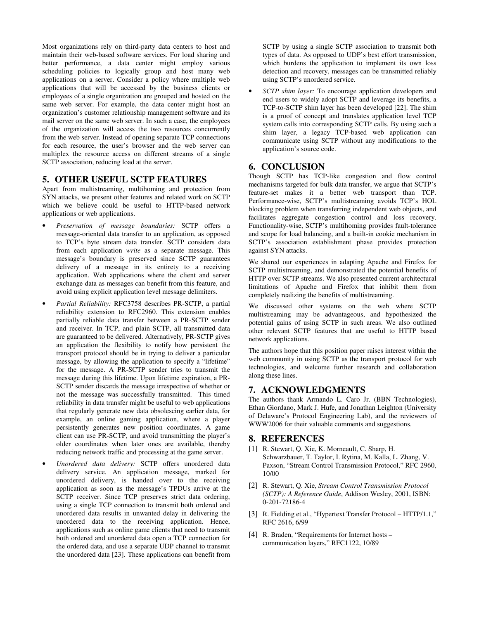Most organizations rely on third-party data centers to host and maintain their web-based software services. For load sharing and better performance, a data center might employ various scheduling policies to logically group and host many web applications on a server. Consider a policy where multiple web applications that will be accessed by the business clients or employees of a single organization are grouped and hosted on the same web server. For example, the data center might host an organization's customer relationship management software and its mail server on the same web server. In such a case, the employees of the organization will access the two resources concurrently from the web server. Instead of opening separate TCP connections for each resource, the user's browser and the web server can multiplex the resource access on different streams of a single SCTP association, reducing load at the server.

## **5. OTHER USEFUL SCTP FEATURES**

Apart from multistreaming, multihoming and protection from SYN attacks, we present other features and related work on SCTP which we believe could be useful to HTTP-based network applications or web applications.

- *Preservation of message boundaries:* SCTP offers a message-oriented data transfer to an application, as opposed to TCP's byte stream data transfer. SCTP considers data from each application *write* as a separate message. This message's boundary is preserved since SCTP guarantees delivery of a message in its entirety to a receiving application. Web applications where the client and server exchange data as messages can benefit from this feature, and avoid using explicit application level message delimiters.
- *Partial Reliability:* RFC3758 describes PR-SCTP, a partial reliability extension to RFC2960. This extension enables partially reliable data transfer between a PR-SCTP sender and receiver. In TCP, and plain SCTP, all transmitted data are guaranteed to be delivered. Alternatively, PR-SCTP gives an application the flexibility to notify how persistent the transport protocol should be in trying to deliver a particular message, by allowing the application to specify a "lifetime" for the message. A PR-SCTP sender tries to transmit the message during this lifetime. Upon lifetime expiration, a PR-SCTP sender discards the message irrespective of whether or not the message was successfully transmitted. This timed reliability in data transfer might be useful to web applications that regularly generate new data obsolescing earlier data, for example, an online gaming application, where a player persistently generates new position coordinates. A game client can use PR-SCTP, and avoid transmitting the player's older coordinates when later ones are available, thereby reducing network traffic and processing at the game server.
- *Unordered data delivery:* SCTP offers unordered data delivery service. An application message, marked for unordered delivery, is handed over to the receiving application as soon as the message's TPDUs arrive at the SCTP receiver. Since TCP preserves strict data ordering, using a single TCP connection to transmit both ordered and unordered data results in unwanted delay in delivering the unordered data to the receiving application. Hence, applications such as online game clients that need to transmit both ordered and unordered data open a TCP connection for the ordered data, and use a separate UDP channel to transmit the unordered data [23]. These applications can benefit from

SCTP by using a single SCTP association to transmit both types of data. As opposed to UDP's best effort transmission, which burdens the application to implement its own loss detection and recovery, messages can be transmitted reliably using SCTP's unordered service.

• *SCTP shim layer:* To encourage application developers and end users to widely adopt SCTP and leverage its benefits, a TCP-to-SCTP shim layer has been developed [22]. The shim is a proof of concept and translates application level TCP system calls into corresponding SCTP calls. By using such a shim layer, a legacy TCP-based web application can communicate using SCTP without any modifications to the application's source code.

# **6. CONCLUSION**

Though SCTP has TCP-like congestion and flow control mechanisms targeted for bulk data transfer, we argue that SCTP's feature-set makes it a better web transport than TCP. Performance-wise, SCTP's multistreaming avoids TCP's HOL blocking problem when transferring independent web objects, and facilitates aggregate congestion control and loss recovery. Functionality-wise, SCTP's multihoming provides fault-tolerance and scope for load balancing, and a built-in cookie mechanism in SCTP's association establishment phase provides protection against SYN attacks.

We shared our experiences in adapting Apache and Firefox for SCTP multistreaming, and demonstrated the potential benefits of HTTP over SCTP streams. We also presented current architectural limitations of Apache and Firefox that inhibit them from completely realizing the benefits of multistreaming.

We discussed other systems on the web where SCTP multistreaming may be advantageous, and hypothesized the potential gains of using SCTP in such areas. We also outlined other relevant SCTP features that are useful to HTTP based network applications.

The authors hope that this position paper raises interest within the web community in using SCTP as the transport protocol for web technologies, and welcome further research and collaboration along these lines.

## **7. ACKNOWLEDGMENTS**

The authors thank Armando L. Caro Jr. (BBN Technologies), Ethan Giordano, Mark J. Hufe, and Jonathan Leighton (University of Delaware's Protocol Engineering Lab), and the reviewers of WWW2006 for their valuable comments and suggestions.

## **8. REFERENCES**

- [1] R. Stewart, Q. Xie, K. Morneault, C. Sharp, H. Schwarzbauer, T. Taylor, I. Rytina, M. Kalla, L. Zhang, V. Paxson, "Stream Control Transmission Protocol," RFC 2960, 10/00
- [2] R. Stewart, Q. Xie, *Stream Control Transmission Protocol (SCTP): A Reference Guide*, Addison Wesley, 2001, ISBN: 0-201-72186-4
- [3] R. Fielding et al., "Hypertext Transfer Protocol HTTP/1.1," RFC 2616, 6/99
- [4] R. Braden, "Requirements for Internet hosts communication layers," RFC1122, 10/89